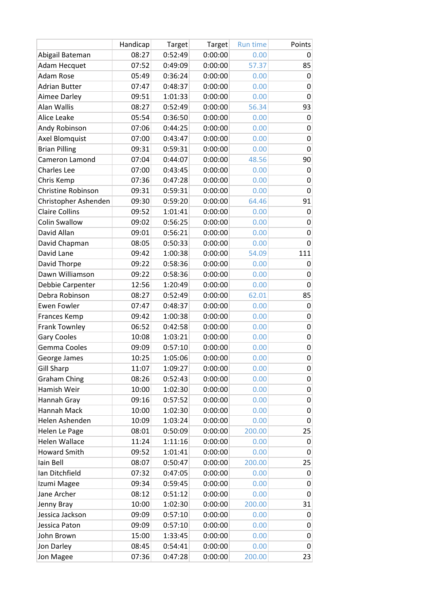|                           | Handicap | Target  | Target  | <b>Run time</b> | Points          |
|---------------------------|----------|---------|---------|-----------------|-----------------|
| Abigail Bateman           | 08:27    | 0:52:49 | 0:00:00 | 0.00            | $\overline{0}$  |
| Adam Hecquet              | 07:52    | 0:49:09 | 0:00:00 | 57.37           | 85              |
| <b>Adam Rose</b>          | 05:49    | 0:36:24 | 0:00:00 | 0.00            | 0               |
| <b>Adrian Butter</b>      | 07:47    | 0:48:37 | 0:00:00 | 0.00            | 0               |
| Aimee Darley              | 09:51    | 1:01:33 | 0:00:00 | 0.00            | 0               |
| Alan Wallis               | 08:27    | 0:52:49 | 0:00:00 | 56.34           | 93              |
| Alice Leake               | 05:54    | 0:36:50 | 0:00:00 | 0.00            | 0               |
| Andy Robinson             | 07:06    | 0:44:25 | 0:00:00 | 0.00            | 0               |
| <b>Axel Blomquist</b>     | 07:00    | 0:43:47 | 0:00:00 | 0.00            | 0               |
| <b>Brian Pilling</b>      | 09:31    | 0:59:31 | 0:00:00 | 0.00            | 0               |
| Cameron Lamond            | 07:04    | 0:44:07 | 0:00:00 | 48.56           | 90              |
| Charles Lee               | 07:00    | 0:43:45 | 0:00:00 | 0.00            | 0               |
| Chris Kemp                | 07:36    | 0:47:28 | 0:00:00 | 0.00            | 0               |
| <b>Christine Robinson</b> | 09:31    | 0:59:31 | 0:00:00 | 0.00            | 0               |
| Christopher Ashenden      | 09:30    | 0:59:20 | 0:00:00 | 64.46           | 91              |
| <b>Claire Collins</b>     | 09:52    | 1:01:41 | 0:00:00 | 0.00            | 0               |
| <b>Colin Swallow</b>      | 09:02    | 0:56:25 | 0:00:00 | 0.00            | 0               |
| David Allan               | 09:01    | 0:56:21 | 0:00:00 | 0.00            | 0               |
| David Chapman             | 08:05    | 0:50:33 | 0:00:00 | 0.00            | 0               |
| David Lane                | 09:42    | 1:00:38 | 0:00:00 | 54.09           | 111             |
| David Thorpe              | 09:22    | 0:58:36 | 0:00:00 | 0.00            | 0               |
| Dawn Williamson           | 09:22    | 0:58:36 | 0:00:00 | 0.00            | 0               |
| Debbie Carpenter          | 12:56    | 1:20:49 | 0:00:00 | 0.00            | 0               |
| Debra Robinson            | 08:27    | 0:52:49 | 0:00:00 | 62.01           | 85              |
| <b>Ewen Fowler</b>        | 07:47    | 0:48:37 | 0:00:00 | 0.00            | 0               |
| <b>Frances Kemp</b>       | 09:42    | 1:00:38 | 0:00:00 | 0.00            | 0               |
| <b>Frank Townley</b>      | 06:52    | 0:42:58 | 0:00:00 | 0.00            | 0               |
| <b>Gary Cooles</b>        | 10:08    | 1:03:21 | 0:00:00 | 0.00            | 0               |
| Gemma Cooles              | 09:09    | 0:57:10 | 0:00:00 | 0.00            | 0               |
| George James              | 10:25    | 1:05:06 | 0:00:00 | 0.00            | 0               |
| <b>Gill Sharp</b>         | 11:07    | 1:09:27 | 0:00:00 | 0.00            | $\vert 0 \vert$ |
| <b>Graham Ching</b>       | 08:26    | 0:52:43 | 0:00:00 | 0.00            | 0               |
| Hamish Weir               | 10:00    | 1:02:30 | 0:00:00 | 0.00            | 0               |
| Hannah Gray               | 09:16    | 0:57:52 | 0:00:00 | 0.00            | $\vert 0 \vert$ |
| Hannah Mack               | 10:00    | 1:02:30 | 0:00:00 | 0.00            | 0               |
| Helen Ashenden            | 10:09    | 1:03:24 | 0:00:00 | 0.00            | 0               |
| Helen Le Page             | 08:01    | 0:50:09 | 0:00:00 | 200.00          | 25              |
| <b>Helen Wallace</b>      | 11:24    | 1:11:16 | 0:00:00 | 0.00            | 0               |
| <b>Howard Smith</b>       | 09:52    | 1:01:41 | 0:00:00 | 0.00            | $\Omega$        |
| Iain Bell                 | 08:07    | 0:50:47 | 0:00:00 | 200.00          | 25              |
| Ian Ditchfield            | 07:32    | 0:47:05 | 0:00:00 | 0.00            | 0               |
| Izumi Magee               | 09:34    | 0:59:45 | 0:00:00 | 0.00            | 0               |
| Jane Archer               | 08:12    | 0:51:12 | 0:00:00 | 0.00            | 0               |
| Jenny Bray                | 10:00    | 1:02:30 | 0:00:00 | 200.00          | 31              |
| Jessica Jackson           | 09:09    | 0:57:10 | 0:00:00 | 0.00            | $\mathbf 0$     |
| Jessica Paton             | 09:09    | 0:57:10 | 0:00:00 | 0.00            | $\Omega$        |
| John Brown                | 15:00    | 1:33:45 | 0:00:00 | 0.00            | 0               |
| Jon Darley                | 08:45    | 0:54:41 | 0:00:00 | 0.00            | $\Omega$        |
| Jon Magee                 | 07:36    | 0:47:28 | 0:00:00 | 200.00          | 23              |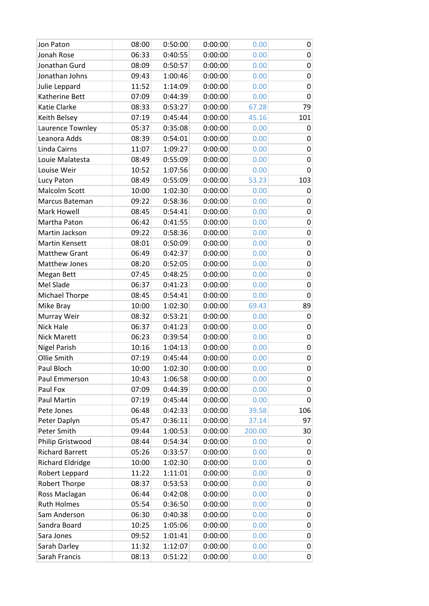| Jon Paton               | 08:00 | 0:50:00 | 0:00:00 | 0.00   | 0           |
|-------------------------|-------|---------|---------|--------|-------------|
| Jonah Rose              | 06:33 | 0:40:55 | 0:00:00 | 0.00   | 0           |
| Jonathan Gurd           | 08:09 | 0:50:57 | 0:00:00 | 0.00   | 0           |
| Jonathan Johns          | 09:43 | 1:00:46 | 0:00:00 | 0.00   | 0           |
| Julie Leppard           | 11:52 | 1:14:09 | 0:00:00 | 0.00   | 0           |
| Katherine Bett          | 07:09 | 0:44:39 | 0:00:00 | 0.00   | $\pmb{0}$   |
| Katie Clarke            | 08:33 | 0:53:27 | 0:00:00 | 67.28  | 79          |
| Keith Belsey            | 07:19 | 0:45:44 | 0:00:00 | 45.16  | 101         |
| Laurence Townley        | 05:37 | 0:35:08 | 0:00:00 | 0.00   | 0           |
| Leanora Adds            | 08:39 | 0:54:01 | 0:00:00 | 0.00   | 0           |
| Linda Cairns            | 11:07 | 1:09:27 | 0:00:00 | 0.00   | 0           |
| Louie Malatesta         | 08:49 | 0:55:09 | 0:00:00 | 0.00   | 0           |
| Louise Weir             | 10:52 | 1:07:56 | 0:00:00 | 0.00   | 0           |
| Lucy Paton              | 08:49 | 0:55:09 | 0:00:00 | 53.23  | 103         |
| <b>Malcolm Scott</b>    | 10:00 | 1:02:30 | 0:00:00 | 0.00   | $\mathbf 0$ |
| Marcus Bateman          | 09:22 | 0:58:36 | 0:00:00 | 0.00   | 0           |
| Mark Howell             | 08:45 | 0:54:41 | 0:00:00 | 0.00   | 0           |
| Martha Paton            | 06:42 | 0:41:55 | 0:00:00 | 0.00   | 0           |
| Martin Jackson          | 09:22 | 0:58:36 | 0:00:00 | 0.00   | 0           |
| <b>Martin Kensett</b>   | 08:01 | 0:50:09 | 0:00:00 | 0.00   | $\pmb{0}$   |
| <b>Matthew Grant</b>    | 06:49 | 0:42:37 | 0:00:00 | 0.00   | 0           |
| <b>Matthew Jones</b>    | 08:20 | 0:52:05 | 0:00:00 | 0.00   | 0           |
| Megan Bett              | 07:45 | 0:48:25 | 0:00:00 | 0.00   | 0           |
| Mel Slade               | 06:37 | 0:41:23 | 0:00:00 | 0.00   | 0           |
| <b>Michael Thorpe</b>   | 08:45 | 0:54:41 | 0:00:00 | 0.00   | $\pmb{0}$   |
| Mike Bray               | 10:00 | 1:02:30 | 0:00:00 | 69.43  | 89          |
| Murray Weir             | 08:32 | 0:53:21 | 0:00:00 | 0.00   | 0           |
| <b>Nick Hale</b>        | 06:37 | 0:41:23 | 0:00:00 | 0.00   | 0           |
| <b>Nick Marett</b>      | 06:23 | 0:39:54 | 0:00:00 | 0.00   | 0           |
| <b>Nigel Parish</b>     | 10:16 | 1:04:13 | 0:00:00 | 0.00   | 0           |
| Ollie Smith             | 07:19 | 0:45:44 | 0:00:00 | 0.00   | 0           |
| Paul Bloch              | 10:00 | 1:02:30 | 0:00:00 | 0.00   | 0           |
| Paul Emmerson           | 10:43 | 1:06:58 | 0:00:00 | 0.00   | 0           |
| Paul Fox                | 07:09 | 0:44:39 | 0:00:00 | 0.00   | $\pmb{0}$   |
| <b>Paul Martin</b>      | 07:19 | 0:45:44 | 0:00:00 | 0.00   | 0           |
| Pete Jones              | 06:48 | 0:42:33 | 0:00:00 | 39.58  | 106         |
| Peter Daplyn            | 05:47 | 0:36:11 | 0:00:00 | 37.14  | 97          |
| Peter Smith             | 09:44 | 1:00:53 | 0:00:00 | 200.00 | 30          |
| Philip Gristwood        | 08:44 | 0:54:34 | 0:00:00 | 0.00   | 0           |
| <b>Richard Barrett</b>  | 05:26 | 0:33:57 | 0:00:00 | 0.00   | 0           |
| <b>Richard Eldridge</b> | 10:00 | 1:02:30 | 0:00:00 | 0.00   | 0           |
| Robert Leppard          | 11:22 | 1:11:01 | 0:00:00 | 0.00   | 0           |
| Robert Thorpe           | 08:37 | 0:53:53 | 0:00:00 | 0.00   | 0           |
| Ross Maclagan           | 06:44 | 0:42:08 | 0:00:00 | 0.00   | 0           |
| <b>Ruth Holmes</b>      | 05:54 | 0:36:50 | 0:00:00 | 0.00   | 0           |
| Sam Anderson            | 06:30 | 0:40:38 | 0:00:00 | 0.00   | $\pmb{0}$   |
| Sandra Board            | 10:25 | 1:05:06 | 0:00:00 | 0.00   | 0           |
| Sara Jones              | 09:52 | 1:01:41 | 0:00:00 | 0.00   | 0           |
| Sarah Darley            | 11:32 | 1:12:07 | 0:00:00 | 0.00   | 0           |
| Sarah Francis           | 08:13 | 0:51:22 | 0:00:00 | 0.00   | 0           |